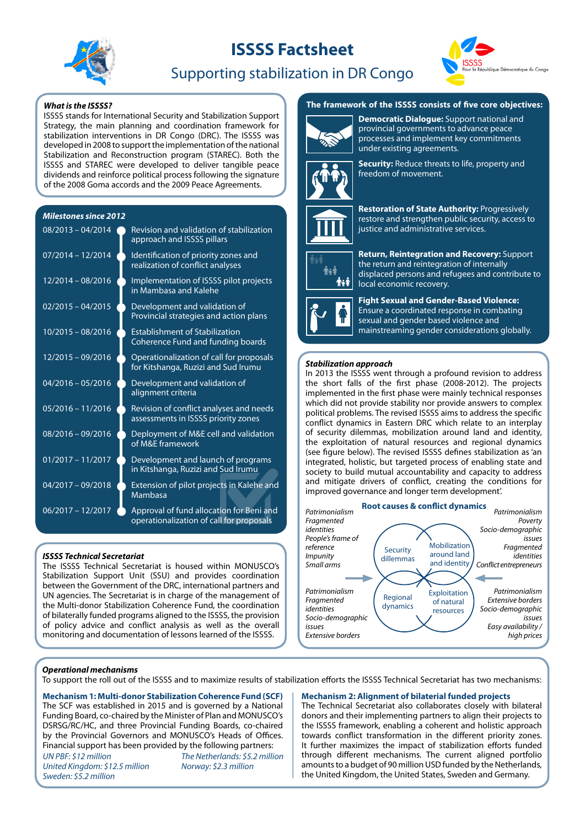# **ISSSS Factsheet**





# Supporting stabilization in DR Congo

ISSSS stands for International Security and Stabilization Support Strategy, the main planning and coordination framework for stabilization interventions in DR Congo (DRC). The ISSSS was developed in 2008 to support the implementation of the national Stabilization and Reconstruction program (STAREC). Both the ISSSS and STAREC were developed to deliver tangible peace dividends and reinforce political process following the signature of the 2008 Goma accords and the 2009 Peace Agreements.

# *Milestones since 2012*

| $08/2013 - 04/2014$ | Revision and validation of stabilization<br>approach and ISSSS pillars               |
|---------------------|--------------------------------------------------------------------------------------|
| $07/2014 - 12/2014$ | Identification of priority zones and<br>realization of conflict analyses             |
| $12/2014 - 08/2016$ | Implementation of ISSSS pilot projects<br>in Mambasa and Kalehe                      |
| $02/2015 - 04/2015$ | Development and validation of<br>Provincial strategies and action plans              |
| $10/2015 - 08/2016$ | <b>Establishment of Stabilization</b><br><b>Coherence Fund and funding boards</b>    |
| 12/2015 - 09/2016   | Operationalization of call for proposals<br>for Kitshanga, Ruzizi and Sud Irumu      |
| $04/2016 - 05/2016$ | Development and validation of<br>alignment criteria                                  |
| $05/2016 - 11/2016$ | Revision of conflict analyses and needs<br>assessments in ISSSS priority zones       |
| $08/2016 - 09/2016$ | Deployment of M&E cell and validation<br>of M&E framework                            |
| $01/2017 - 11/2017$ | Development and launch of programs<br>in Kitshanga, Ruzizi and Sud Irumu             |
| $04/2017 - 09/2018$ | Extension of pilot projects in Kalehe and<br>Mambasa                                 |
| $06/2017 - 12/2017$ | Approval of fund allocation for Beni and<br>operationalization of call for proposals |

# *ISSSS Technical Secretariat*

The ISSSS Technical Secretariat is housed within MONUSCO's Stabilization Support Unit (SSU) and provides coordination between the Government of the DRC, international partners and UN agencies. The Secretariat is in charge of the management of the Multi-donor Stabilization Coherence Fund, the coordination of bilaterally funded programs aligned to the ISSSS, the provision of policy advice and conflict analysis as well as the overall monitoring and documentation of lessons learned of the ISSSS.

# *What is the ISSSS?* **<b>The framework of the ISSSS consists of five core objectives:**



**Democratic Dialogue:** Support national and provincial governments to advance peace processes and implement key commitments under existing agreements.



**Security:** Reduce threats to life, property and freedom of movement.





Å∗Å **i**ki **Return, Reintegration and Recovery:** Support the return and reintegration of internally displaced persons and refugees and contribute to local economic recovery.

**Fight Sexual and Gender-Based Violence:**  Ensure a coordinated response in combating sexual and gender based violence and mainstreaming gender considerations globally.

## *Stabilization approach*

In 2013 the ISSSS went through a profound revision to address the short falls of the first phase (2008-2012). The projects implemented in the first phase were mainly technical responses which did not provide stability nor provide answers to complex political problems. The revised ISSSS aims to address the specific conflict dynamics in Eastern DRC which relate to an interplay of security dilemmas, mobilization around land and identity, the exploitation of natural resources and regional dynamics (see figure below). The revised ISSSS defines stabilization as 'an integrated, holistic, but targeted process of enabling state and society to build mutual accountability and capacity to address and mitigate drivers of conflict, creating the conditions for improved governance and longer term development'.



### *Operational mechanisms*

To support the roll out of the ISSSS and to maximize results of stabilization efforts the ISSSS Technical Secretariat has two mechanisms:

**Mechanism 1: Multi-donor Stabilization Coherence Fund (SCF)** The SCF was established in 2015 and is governed by a National Funding Board, co-chaired by the Minister of Plan and MONUSCO's DSRSG/RC/HC, and three Provincial Funding Boards, co-chaired by the Provincial Governors and MONUSCO's Heads of Offices. Financial support has been provided by the following partners:

*UN PBF: \$12 million United Kingdom: \$12.5 million Sweden: \$5.2 million*

*The Netherlands: \$5.2 million Norway: \$2.3 million*

### **Mechanism 2: Alignment of bilaterial funded projects**

The Technical Secretariat also collaborates closely with bilateral donors and their implementing partners to align their projects to the ISSSS framework, enabling a coherent and holistic approach towards conflict transformation in the different priority zones. It further maximizes the impact of stabilization efforts funded through different mechanisms. The current aligned portfolio amounts to a budget of 90 million USD funded by the Netherlands, the United Kingdom, the United States, Sweden and Germany.